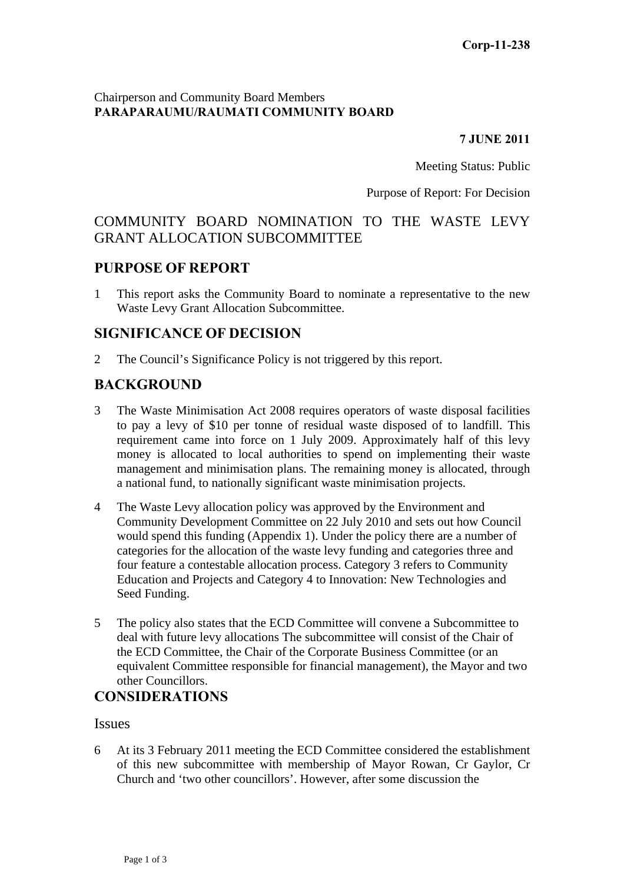### Chairperson and Community Board Members **PARAPARAUMU/RAUMATI COMMUNITY BOARD**

#### **7 JUNE 2011**

Meeting Status: Public

Purpose of Report: For Decision

# COMMUNITY BOARD NOMINATION TO THE WASTE LEVY GRANT ALLOCATION SUBCOMMITTEE

### **PURPOSE OF REPORT**

1 This report asks the Community Board to nominate a representative to the new Waste Levy Grant Allocation Subcommittee.

### **SIGNIFICANCE OF DECISION**

2 The Council's Significance Policy is not triggered by this report.

# **BACKGROUND**

- 3 The Waste Minimisation Act 2008 requires operators of waste disposal facilities to pay a levy of \$10 per tonne of residual waste disposed of to landfill. This requirement came into force on 1 July 2009. Approximately half of this levy money is allocated to local authorities to spend on implementing their waste management and minimisation plans. The remaining money is allocated, through a national fund, to nationally significant waste minimisation projects.
- 4 The Waste Levy allocation policy was approved by the Environment and Community Development Committee on 22 July 2010 and sets out how Council would spend this funding (Appendix 1). Under the policy there are a number of categories for the allocation of the waste levy funding and categories three and four feature a contestable allocation process. Category 3 refers to Community Education and Projects and Category 4 to Innovation: New Technologies and Seed Funding.
- 5 The policy also states that the ECD Committee will convene a Subcommittee to deal with future levy allocations The subcommittee will consist of the Chair of the ECD Committee, the Chair of the Corporate Business Committee (or an equivalent Committee responsible for financial management), the Mayor and two other Councillors.

## **CONSIDERATIONS**

### Issues

6 At its 3 February 2011 meeting the ECD Committee considered the establishment of this new subcommittee with membership of Mayor Rowan, Cr Gaylor, Cr Church and 'two other councillors'. However, after some discussion the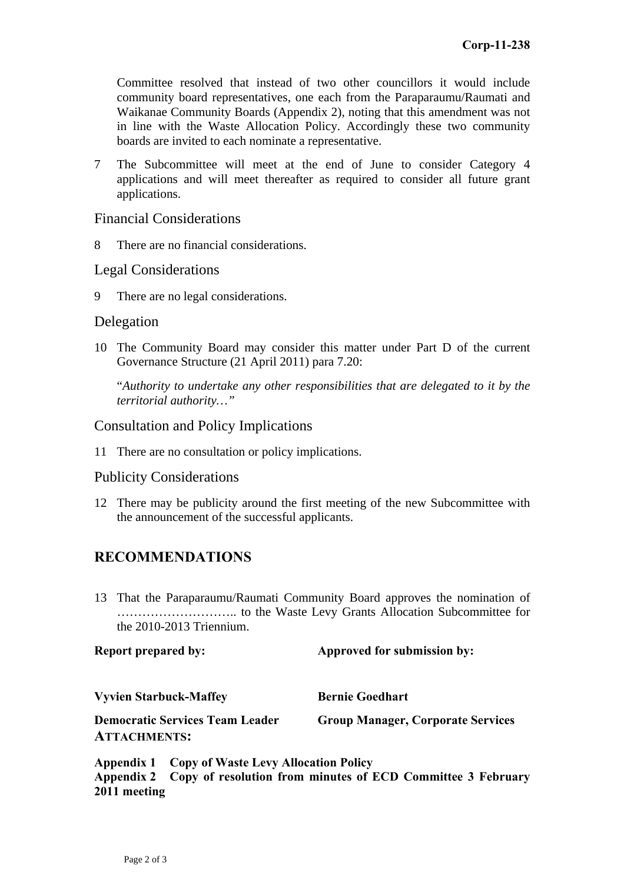Committee resolved that instead of two other councillors it would include community board representatives, one each from the Paraparaumu/Raumati and Waikanae Community Boards (Appendix 2), noting that this amendment was not in line with the Waste Allocation Policy. Accordingly these two community boards are invited to each nominate a representative.

7 The Subcommittee will meet at the end of June to consider Category 4 applications and will meet thereafter as required to consider all future grant applications.

Financial Considerations

8 There are no financial considerations.

Legal Considerations

9 There are no legal considerations.

### Delegation

10 The Community Board may consider this matter under Part D of the current Governance Structure (21 April 2011) para 7.20:

"*Authority to undertake any other responsibilities that are delegated to it by the territorial authority…"* 

### Consultation and Policy Implications

11 There are no consultation or policy implications.

### Publicity Considerations

12 There may be publicity around the first meeting of the new Subcommittee with the announcement of the successful applicants.

## **RECOMMENDATIONS**

13 That the Paraparaumu/Raumati Community Board approves the nomination of ……………………….. to the Waste Levy Grants Allocation Subcommittee for the 2010-2013 Triennium.

| <b>Report prepared by:</b>                                    | Approved for submission by:              |
|---------------------------------------------------------------|------------------------------------------|
| <b>Vyvien Starbuck-Maffey</b>                                 | <b>Bernie Goedhart</b>                   |
| <b>Democratic Services Team Leader</b><br><b>ATTACHMENTS:</b> | <b>Group Manager, Corporate Services</b> |

**Appendix 1 Copy of Waste Levy Allocation Policy Appendix 2 Copy of resolution from minutes of ECD Committee 3 February 2011 meeting**